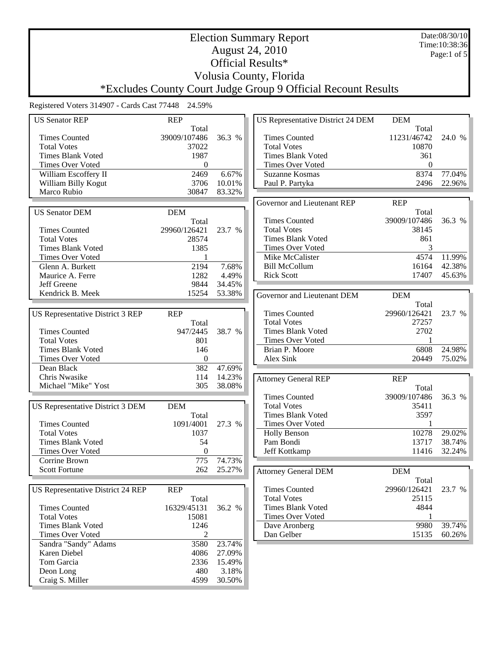Date:08/30/10 Time:10:38:36 Page:1 of 5

# Election Summary Report August 24, 2010 Official Results\* Volusia County, Florida

\*Excludes County Court Judge Group 9 Official Recount Results

| <b>US Senator REP</b>             | <b>REP</b>     |        | <b>US Representative District 24 DEM</b> | <b>DEM</b>   |        |
|-----------------------------------|----------------|--------|------------------------------------------|--------------|--------|
|                                   | Total          |        |                                          | Total        |        |
| <b>Times Counted</b>              | 39009/107486   | 36.3 % | <b>Times Counted</b>                     | 11231/46742  | 24.0 % |
| <b>Total Votes</b>                | 37022          |        | <b>Total Votes</b>                       | 10870        |        |
| <b>Times Blank Voted</b>          | 1987           |        | <b>Times Blank Voted</b>                 | 361          |        |
| <b>Times Over Voted</b>           | $\mathbf{0}$   |        | <b>Times Over Voted</b>                  | $\mathbf{0}$ |        |
| William Escoffery II              | 2469           | 6.67%  | Suzanne Kosmas                           | 8374         | 77.04% |
| William Billy Kogut               | 3706           | 10.01% | Paul P. Partyka                          | 2496         | 22.96% |
| Marco Rubio                       | 30847          | 83.32% |                                          |              |        |
|                                   |                |        | Governor and Lieutenant REP              | <b>REP</b>   |        |
| <b>US Senator DEM</b>             | <b>DEM</b>     |        |                                          | Total        |        |
|                                   | Total          |        | <b>Times Counted</b>                     | 39009/107486 | 36.3 % |
| <b>Times Counted</b>              | 29960/126421   | 23.7 % | <b>Total Votes</b>                       | 38145        |        |
| <b>Total Votes</b>                | 28574          |        | <b>Times Blank Voted</b>                 | 861          |        |
| <b>Times Blank Voted</b>          | 1385           |        | Times Over Voted                         | 3            |        |
| <b>Times Over Voted</b>           | 1              |        | Mike McCalister                          | 4574         | 11.99% |
| Glenn A. Burkett                  | 2194           | 7.68%  | <b>Bill McCollum</b>                     | 16164        | 42.38% |
| Maurice A. Ferre                  | 1282           | 4.49%  | <b>Rick Scott</b>                        | 17407        | 45.63% |
| Jeff Greene                       | 9844           | 34.45% |                                          |              |        |
| Kendrick B. Meek                  | 15254          | 53.38% | Governor and Lieutenant DEM              | <b>DEM</b>   |        |
|                                   |                |        |                                          | Total        |        |
| US Representative District 3 REP  | <b>REP</b>     |        | <b>Times Counted</b>                     | 29960/126421 | 23.7 % |
|                                   | Total          |        | <b>Total Votes</b>                       | 27257        |        |
| <b>Times Counted</b>              | 947/2445       | 38.7 % | <b>Times Blank Voted</b>                 | 2702         |        |
| <b>Total Votes</b>                | 801            |        | <b>Times Over Voted</b>                  | $\mathbf{1}$ |        |
| <b>Times Blank Voted</b>          | 146            |        | Brian P. Moore                           | 6808         | 24.98% |
| Times Over Voted                  | $\theta$       |        | Alex Sink                                | 20449        | 75.02% |
| Dean Black                        | 382            | 47.69% |                                          |              |        |
| Chris Nwasike                     | 114            | 14.23% | <b>Attorney General REP</b>              | <b>REP</b>   |        |
| Michael "Mike" Yost               | 305            | 38.08% |                                          | Total        |        |
|                                   |                |        | <b>Times Counted</b>                     | 39009/107486 | 36.3 % |
| US Representative District 3 DEM  | <b>DEM</b>     |        | <b>Total Votes</b>                       | 35411        |        |
|                                   | Total          |        | <b>Times Blank Voted</b>                 | 3597         |        |
| <b>Times Counted</b>              | 1091/4001      | 27.3 % | <b>Times Over Voted</b>                  | 1            |        |
| <b>Total Votes</b>                | 1037           |        | <b>Holly Benson</b>                      | 10278        | 29.02% |
| <b>Times Blank Voted</b>          | 54             |        | Pam Bondi                                | 13717        | 38.74% |
| Times Over Voted                  | $\Omega$       |        | Jeff Kottkamp                            | 11416        | 32.24% |
| Corrine Brown                     | 775            | 74.73% |                                          |              |        |
| <b>Scott Fortune</b>              | 262            | 25.27% | <b>Attorney General DEM</b>              | <b>DEM</b>   |        |
|                                   |                |        |                                          | Total        |        |
| US Representative District 24 REP | <b>REP</b>     |        | <b>Times Counted</b>                     | 29960/126421 | 23.7 % |
|                                   | Total          |        | <b>Total Votes</b>                       | 25115        |        |
| <b>Times Counted</b>              | 16329/45131    | 36.2 % | <b>Times Blank Voted</b>                 | 4844         |        |
| <b>Total Votes</b>                | 15081          |        | <b>Times Over Voted</b>                  | 1            |        |
| <b>Times Blank Voted</b>          | 1246           |        | Dave Aronberg                            | 9980         | 39.74% |
| Times Over Voted                  | $\overline{c}$ |        | Dan Gelber                               | 15135        | 60.26% |
| Sandra "Sandy" Adams              | 3580           | 23.74% |                                          |              |        |
| Karen Diebel                      | 4086           | 27.09% |                                          |              |        |
| Tom Garcia                        | 2336           | 15.49% |                                          |              |        |
| Deon Long                         | 480            | 3.18%  |                                          |              |        |
| Craig S. Miller                   | 4599           | 30.50% |                                          |              |        |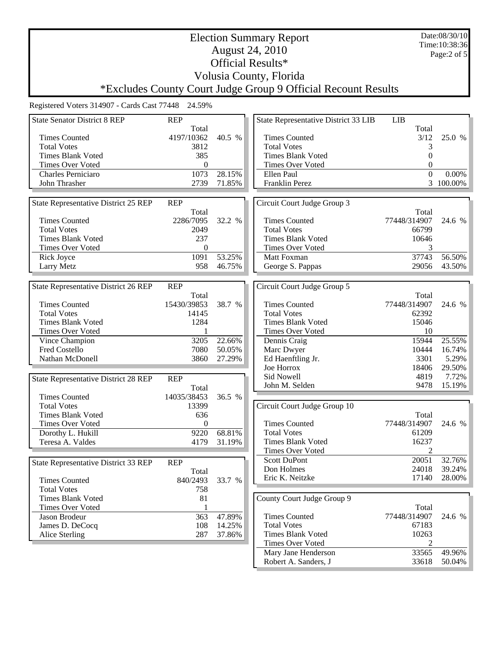Date:08/30/10 Time:10:38:36 Page:2 of 5

## Election Summary Report August 24, 2010 Official Results\* Volusia County, Florida

\*Excludes County Court Judge Group 9 Official Recount Results

| <b>State Senator District 8 REP</b>         | <b>REP</b>   |        | State Representative District 33 LIB | <b>LIB</b>     |           |
|---------------------------------------------|--------------|--------|--------------------------------------|----------------|-----------|
|                                             | Total        |        |                                      | Total          |           |
| <b>Times Counted</b>                        | 4197/10362   | 40.5 % | <b>Times Counted</b>                 | 3/12           | 25.0 %    |
| <b>Total Votes</b>                          | 3812         |        | <b>Total Votes</b>                   | 3              |           |
| <b>Times Blank Voted</b>                    | 385          |        | <b>Times Blank Voted</b>             | $\theta$       |           |
| Times Over Voted                            | $\mathbf{0}$ |        | Times Over Voted                     | $\theta$       |           |
| Charles Perniciaro                          | 1073         | 28.15% | Ellen Paul                           | $\overline{0}$ | 0.00%     |
| John Thrasher                               | 2739         | 71.85% | Franklin Perez                       |                | 3 100.00% |
|                                             |              |        |                                      |                |           |
| <b>State Representative District 25 REP</b> | <b>REP</b>   |        | Circuit Court Judge Group 3          |                |           |
|                                             | Total        |        |                                      | Total          |           |
| <b>Times Counted</b>                        | 2286/7095    | 32.2 % | <b>Times Counted</b>                 | 77448/314907   | 24.6 %    |
| <b>Total Votes</b>                          | 2049         |        | <b>Total Votes</b>                   | 66799          |           |
|                                             |              |        |                                      |                |           |
| <b>Times Blank Voted</b>                    | 237          |        | <b>Times Blank Voted</b>             | 10646          |           |
| Times Over Voted                            | $\mathbf{0}$ |        | Times Over Voted                     | 3              |           |
| Rick Joyce                                  | 1091         | 53.25% | Matt Foxman                          | 37743          | 56.50%    |
| Larry Metz                                  | 958          | 46.75% | George S. Pappas                     | 29056          | 43.50%    |
|                                             |              |        |                                      |                |           |
| State Representative District 26 REP        | <b>REP</b>   |        | Circuit Court Judge Group 5          |                |           |
|                                             | Total        |        |                                      | Total          |           |
| <b>Times Counted</b>                        | 15430/39853  | 38.7 % | <b>Times Counted</b>                 | 77448/314907   | 24.6 %    |
| <b>Total Votes</b>                          | 14145        |        | <b>Total Votes</b>                   | 62392          |           |
| <b>Times Blank Voted</b>                    | 1284         |        | <b>Times Blank Voted</b>             | 15046          |           |
| Times Over Voted                            |              |        | Times Over Voted                     | 10             |           |
| Vince Champion                              | 3205         | 22.66% | Dennis Craig                         | 15944          | 25.55%    |
| Fred Costello                               | 7080         | 50.05% | Marc Dwyer                           | 10444          | 16.74%    |
| Nathan McDonell                             | 3860         | 27.29% |                                      | 3301           | 5.29%     |
|                                             |              |        | Ed Haenftling Jr.<br>Joe Horrox      | 18406          | 29.50%    |
|                                             |              |        |                                      |                |           |
| <b>State Representative District 28 REP</b> | <b>REP</b>   |        | Sid Nowell                           | 4819           | 7.72%     |
|                                             | Total        |        | John M. Selden                       | 9478           | 15.19%    |
| <b>Times Counted</b>                        | 14035/38453  | 36.5 % |                                      |                |           |
| <b>Total Votes</b>                          | 13399        |        | Circuit Court Judge Group 10         |                |           |
| <b>Times Blank Voted</b>                    | 636          |        |                                      | Total          |           |
| Times Over Voted                            | $\mathbf{0}$ |        | <b>Times Counted</b>                 | 77448/314907   | 24.6 %    |
| Dorothy L. Hukill                           | 9220         | 68.81% | <b>Total Votes</b>                   | 61209          |           |
| Teresa A. Valdes                            | 4179         | 31.19% | <b>Times Blank Voted</b>             | 16237          |           |
|                                             |              |        | Times Over Voted                     | $\overline{2}$ |           |
|                                             |              |        | Scott DuPont                         | 20051          | 32.76%    |
| State Representative District 33 REP        | <b>REP</b>   |        | Don Holmes                           | 24018          | 39.24%    |
|                                             | Total        |        | Eric K. Neitzke                      | 17140          | 28.00%    |
| <b>Times Counted</b>                        | 840/2493     | 33.7 % |                                      |                |           |
| <b>Total Votes</b>                          | 758          |        |                                      |                |           |
| <b>Times Blank Voted</b>                    | 81           |        | County Court Judge Group 9           |                |           |
| Times Over Voted                            |              |        |                                      | Total          |           |
| Jason Brodeur                               | 363          | 47.89% | <b>Times Counted</b>                 | 77448/314907   | 24.6 %    |
| James D. DeCocq                             | 108          | 14.25% | <b>Total Votes</b>                   | 67183          |           |
| Alice Sterling                              | 287          | 37.86% | <b>Times Blank Voted</b>             | 10263          |           |
|                                             |              |        | Times Over Voted                     | 2              |           |
|                                             |              |        | Mary Jane Henderson                  | 33565          | 49.96%    |
|                                             |              |        | Robert A. Sanders, J                 | 33618          | 50.04%    |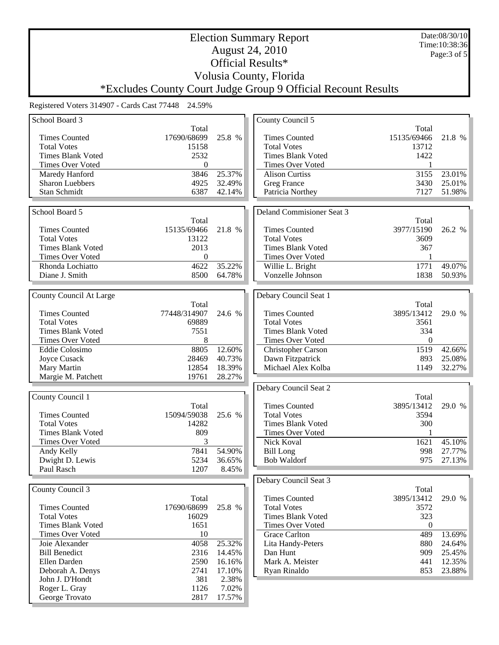| <b>August 24, 2010</b><br>Page: $3$ of $5$<br>Official Results*<br>Volusia County, Florida<br>*Excludes County Court Judge Group 9 Official Recount Results<br>Registered Voters 314907 - Cards Cast 77448 24.59%<br>School Board 3<br>County Council 5<br>Total<br>Total<br>17690/68699<br>25.8 %<br><b>Times Counted</b><br><b>Times Counted</b><br>15135/69466<br>21.8 %<br><b>Total Votes</b><br>15158<br><b>Total Votes</b><br>13712<br>2532<br><b>Times Blank Voted</b><br><b>Times Blank Voted</b><br>1422<br>Times Over Voted<br>0<br>Times Over Voted<br>25.37%<br>3846<br>3155<br>23.01%<br>Maredy Hanford<br><b>Alison Curtiss</b><br><b>Sharon Luebbers</b><br>4925<br>32.49%<br>25.01%<br>Greg France<br>3430<br>51.98%<br>Stan Schmidt<br>6387<br>42.14%<br>Patricia Northey<br>7127<br>School Board 5<br>Deland Commisioner Seat 3<br>Total<br>Total<br><b>Times Counted</b><br>15135/69466<br>21.8 %<br><b>Times Counted</b><br>3977/15190<br>26.2 %<br><b>Total Votes</b><br>13122<br><b>Total Votes</b><br>3609<br><b>Times Blank Voted</b><br>2013<br><b>Times Blank Voted</b><br>367<br><b>Times Over Voted</b><br>Times Over Voted<br>0<br>Rhonda Lochiatto<br>4622<br>35.22%<br>1771<br>49.07%<br>Willie L. Bright<br>8500<br>Vonzelle Johnson<br>Diane J. Smith<br>64.78%<br>1838<br>50.93%<br>Debary Council Seat 1<br>County Council At Large<br>Total<br>Total<br><b>Times Counted</b><br><b>Times Counted</b><br>77448/314907<br>24.6 %<br>3895/13412<br>29.0 %<br><b>Total Votes</b><br>69889<br><b>Total Votes</b><br>3561<br><b>Times Blank Voted</b><br>7551<br><b>Times Blank Voted</b><br>334<br>Times Over Voted<br>8<br>Times Over Voted<br>$\mathbf{0}$<br>8805<br>12.60%<br>Eddie Colosimo<br>1519<br>42.66%<br>Christopher Carson<br>28469<br>40.73%<br>893<br>25.08%<br>Joyce Cusack<br>Dawn Fitzpatrick<br>12854<br>18.39%<br>Michael Alex Kolba<br>1149<br>32.27%<br>Mary Martin<br>19761<br>28.27%<br>Margie M. Patchett<br>Debary Council Seat 2<br>County Council 1<br>Total<br><b>Times Counted</b><br>3895/13412<br>29.0 %<br>Total<br>15094/59038<br><b>Times Counted</b><br>25.6 %<br><b>Total Votes</b><br>3594<br><b>Total Votes</b><br><b>Times Blank Voted</b><br>300<br>14282<br><b>Times Blank Voted</b><br>809<br>Times Over Voted<br>Times Over Voted<br>3<br>Nick Koval<br>1621<br>45.10%<br>54.90%<br>Andy Kelly<br>7841<br><b>Bill Long</b><br>998<br>27.77%<br>Dwight D. Lewis<br>5234<br>36.65%<br><b>Bob Waldorf</b><br>975<br>27.13%<br>Paul Rasch<br>1207<br>8.45%<br>Debary Council Seat 3<br>County Council 3<br>Total<br>Total<br><b>Times Counted</b><br>3895/13412<br>29.0 %<br>17690/68699<br><b>Times Counted</b><br>25.8 %<br><b>Total Votes</b><br>3572<br><b>Total Votes</b><br>16029<br><b>Times Blank Voted</b><br>323<br><b>Times Blank Voted</b><br>1651<br>Times Over Voted<br>$\theta$<br>Times Over Voted<br>10<br>489<br>13.69%<br><b>Grace Carlton</b><br>25.32%<br>Joie Alexander<br>4058<br>880<br>Lita Handy-Peters<br>24.64%<br><b>Bill Benedict</b><br>2316<br>14.45%<br>Dan Hunt<br>909<br>25.45%<br>Mark A. Meister<br>Ellen Darden<br>2590<br>441<br>12.35%<br>16.16%<br>2741<br>Ryan Rinaldo<br>853<br>23.88%<br>Deborah A. Denys<br>17.10%<br>John J. D'Hondt<br>381<br>2.38%<br>Roger L. Gray<br>1126<br>7.02%<br>17.57%<br>George Trovato<br>2817 |  | <b>Election Summary Report</b> |  |  | Date:08/30/10<br>Time: 10:38:36 |  |
|--------------------------------------------------------------------------------------------------------------------------------------------------------------------------------------------------------------------------------------------------------------------------------------------------------------------------------------------------------------------------------------------------------------------------------------------------------------------------------------------------------------------------------------------------------------------------------------------------------------------------------------------------------------------------------------------------------------------------------------------------------------------------------------------------------------------------------------------------------------------------------------------------------------------------------------------------------------------------------------------------------------------------------------------------------------------------------------------------------------------------------------------------------------------------------------------------------------------------------------------------------------------------------------------------------------------------------------------------------------------------------------------------------------------------------------------------------------------------------------------------------------------------------------------------------------------------------------------------------------------------------------------------------------------------------------------------------------------------------------------------------------------------------------------------------------------------------------------------------------------------------------------------------------------------------------------------------------------------------------------------------------------------------------------------------------------------------------------------------------------------------------------------------------------------------------------------------------------------------------------------------------------------------------------------------------------------------------------------------------------------------------------------------------------------------------------------------------------------------------------------------------------------------------------------------------------------------------------------------------------------------------------------------------------------------------------------------------------------------------------------------------------------------------------------------------------------------------------------------------------------------------------------------------------------------------------------------------------------------------------------------------------------------------------------------------------------------------------------------------------------------------------------------------------------------------------------------------------------------------------------------------------------------------------------------------------------------------------------|--|--------------------------------|--|--|---------------------------------|--|
|                                                                                                                                                                                                                                                                                                                                                                                                                                                                                                                                                                                                                                                                                                                                                                                                                                                                                                                                                                                                                                                                                                                                                                                                                                                                                                                                                                                                                                                                                                                                                                                                                                                                                                                                                                                                                                                                                                                                                                                                                                                                                                                                                                                                                                                                                                                                                                                                                                                                                                                                                                                                                                                                                                                                                                                                                                                                                                                                                                                                                                                                                                                                                                                                                                                                                                                                                  |  |                                |  |  |                                 |  |
|                                                                                                                                                                                                                                                                                                                                                                                                                                                                                                                                                                                                                                                                                                                                                                                                                                                                                                                                                                                                                                                                                                                                                                                                                                                                                                                                                                                                                                                                                                                                                                                                                                                                                                                                                                                                                                                                                                                                                                                                                                                                                                                                                                                                                                                                                                                                                                                                                                                                                                                                                                                                                                                                                                                                                                                                                                                                                                                                                                                                                                                                                                                                                                                                                                                                                                                                                  |  |                                |  |  |                                 |  |
|                                                                                                                                                                                                                                                                                                                                                                                                                                                                                                                                                                                                                                                                                                                                                                                                                                                                                                                                                                                                                                                                                                                                                                                                                                                                                                                                                                                                                                                                                                                                                                                                                                                                                                                                                                                                                                                                                                                                                                                                                                                                                                                                                                                                                                                                                                                                                                                                                                                                                                                                                                                                                                                                                                                                                                                                                                                                                                                                                                                                                                                                                                                                                                                                                                                                                                                                                  |  |                                |  |  |                                 |  |
|                                                                                                                                                                                                                                                                                                                                                                                                                                                                                                                                                                                                                                                                                                                                                                                                                                                                                                                                                                                                                                                                                                                                                                                                                                                                                                                                                                                                                                                                                                                                                                                                                                                                                                                                                                                                                                                                                                                                                                                                                                                                                                                                                                                                                                                                                                                                                                                                                                                                                                                                                                                                                                                                                                                                                                                                                                                                                                                                                                                                                                                                                                                                                                                                                                                                                                                                                  |  |                                |  |  |                                 |  |
|                                                                                                                                                                                                                                                                                                                                                                                                                                                                                                                                                                                                                                                                                                                                                                                                                                                                                                                                                                                                                                                                                                                                                                                                                                                                                                                                                                                                                                                                                                                                                                                                                                                                                                                                                                                                                                                                                                                                                                                                                                                                                                                                                                                                                                                                                                                                                                                                                                                                                                                                                                                                                                                                                                                                                                                                                                                                                                                                                                                                                                                                                                                                                                                                                                                                                                                                                  |  |                                |  |  |                                 |  |
|                                                                                                                                                                                                                                                                                                                                                                                                                                                                                                                                                                                                                                                                                                                                                                                                                                                                                                                                                                                                                                                                                                                                                                                                                                                                                                                                                                                                                                                                                                                                                                                                                                                                                                                                                                                                                                                                                                                                                                                                                                                                                                                                                                                                                                                                                                                                                                                                                                                                                                                                                                                                                                                                                                                                                                                                                                                                                                                                                                                                                                                                                                                                                                                                                                                                                                                                                  |  |                                |  |  |                                 |  |
|                                                                                                                                                                                                                                                                                                                                                                                                                                                                                                                                                                                                                                                                                                                                                                                                                                                                                                                                                                                                                                                                                                                                                                                                                                                                                                                                                                                                                                                                                                                                                                                                                                                                                                                                                                                                                                                                                                                                                                                                                                                                                                                                                                                                                                                                                                                                                                                                                                                                                                                                                                                                                                                                                                                                                                                                                                                                                                                                                                                                                                                                                                                                                                                                                                                                                                                                                  |  |                                |  |  |                                 |  |
|                                                                                                                                                                                                                                                                                                                                                                                                                                                                                                                                                                                                                                                                                                                                                                                                                                                                                                                                                                                                                                                                                                                                                                                                                                                                                                                                                                                                                                                                                                                                                                                                                                                                                                                                                                                                                                                                                                                                                                                                                                                                                                                                                                                                                                                                                                                                                                                                                                                                                                                                                                                                                                                                                                                                                                                                                                                                                                                                                                                                                                                                                                                                                                                                                                                                                                                                                  |  |                                |  |  |                                 |  |
|                                                                                                                                                                                                                                                                                                                                                                                                                                                                                                                                                                                                                                                                                                                                                                                                                                                                                                                                                                                                                                                                                                                                                                                                                                                                                                                                                                                                                                                                                                                                                                                                                                                                                                                                                                                                                                                                                                                                                                                                                                                                                                                                                                                                                                                                                                                                                                                                                                                                                                                                                                                                                                                                                                                                                                                                                                                                                                                                                                                                                                                                                                                                                                                                                                                                                                                                                  |  |                                |  |  |                                 |  |
|                                                                                                                                                                                                                                                                                                                                                                                                                                                                                                                                                                                                                                                                                                                                                                                                                                                                                                                                                                                                                                                                                                                                                                                                                                                                                                                                                                                                                                                                                                                                                                                                                                                                                                                                                                                                                                                                                                                                                                                                                                                                                                                                                                                                                                                                                                                                                                                                                                                                                                                                                                                                                                                                                                                                                                                                                                                                                                                                                                                                                                                                                                                                                                                                                                                                                                                                                  |  |                                |  |  |                                 |  |
|                                                                                                                                                                                                                                                                                                                                                                                                                                                                                                                                                                                                                                                                                                                                                                                                                                                                                                                                                                                                                                                                                                                                                                                                                                                                                                                                                                                                                                                                                                                                                                                                                                                                                                                                                                                                                                                                                                                                                                                                                                                                                                                                                                                                                                                                                                                                                                                                                                                                                                                                                                                                                                                                                                                                                                                                                                                                                                                                                                                                                                                                                                                                                                                                                                                                                                                                                  |  |                                |  |  |                                 |  |
|                                                                                                                                                                                                                                                                                                                                                                                                                                                                                                                                                                                                                                                                                                                                                                                                                                                                                                                                                                                                                                                                                                                                                                                                                                                                                                                                                                                                                                                                                                                                                                                                                                                                                                                                                                                                                                                                                                                                                                                                                                                                                                                                                                                                                                                                                                                                                                                                                                                                                                                                                                                                                                                                                                                                                                                                                                                                                                                                                                                                                                                                                                                                                                                                                                                                                                                                                  |  |                                |  |  |                                 |  |
|                                                                                                                                                                                                                                                                                                                                                                                                                                                                                                                                                                                                                                                                                                                                                                                                                                                                                                                                                                                                                                                                                                                                                                                                                                                                                                                                                                                                                                                                                                                                                                                                                                                                                                                                                                                                                                                                                                                                                                                                                                                                                                                                                                                                                                                                                                                                                                                                                                                                                                                                                                                                                                                                                                                                                                                                                                                                                                                                                                                                                                                                                                                                                                                                                                                                                                                                                  |  |                                |  |  |                                 |  |
|                                                                                                                                                                                                                                                                                                                                                                                                                                                                                                                                                                                                                                                                                                                                                                                                                                                                                                                                                                                                                                                                                                                                                                                                                                                                                                                                                                                                                                                                                                                                                                                                                                                                                                                                                                                                                                                                                                                                                                                                                                                                                                                                                                                                                                                                                                                                                                                                                                                                                                                                                                                                                                                                                                                                                                                                                                                                                                                                                                                                                                                                                                                                                                                                                                                                                                                                                  |  |                                |  |  |                                 |  |
|                                                                                                                                                                                                                                                                                                                                                                                                                                                                                                                                                                                                                                                                                                                                                                                                                                                                                                                                                                                                                                                                                                                                                                                                                                                                                                                                                                                                                                                                                                                                                                                                                                                                                                                                                                                                                                                                                                                                                                                                                                                                                                                                                                                                                                                                                                                                                                                                                                                                                                                                                                                                                                                                                                                                                                                                                                                                                                                                                                                                                                                                                                                                                                                                                                                                                                                                                  |  |                                |  |  |                                 |  |
|                                                                                                                                                                                                                                                                                                                                                                                                                                                                                                                                                                                                                                                                                                                                                                                                                                                                                                                                                                                                                                                                                                                                                                                                                                                                                                                                                                                                                                                                                                                                                                                                                                                                                                                                                                                                                                                                                                                                                                                                                                                                                                                                                                                                                                                                                                                                                                                                                                                                                                                                                                                                                                                                                                                                                                                                                                                                                                                                                                                                                                                                                                                                                                                                                                                                                                                                                  |  |                                |  |  |                                 |  |
|                                                                                                                                                                                                                                                                                                                                                                                                                                                                                                                                                                                                                                                                                                                                                                                                                                                                                                                                                                                                                                                                                                                                                                                                                                                                                                                                                                                                                                                                                                                                                                                                                                                                                                                                                                                                                                                                                                                                                                                                                                                                                                                                                                                                                                                                                                                                                                                                                                                                                                                                                                                                                                                                                                                                                                                                                                                                                                                                                                                                                                                                                                                                                                                                                                                                                                                                                  |  |                                |  |  |                                 |  |
|                                                                                                                                                                                                                                                                                                                                                                                                                                                                                                                                                                                                                                                                                                                                                                                                                                                                                                                                                                                                                                                                                                                                                                                                                                                                                                                                                                                                                                                                                                                                                                                                                                                                                                                                                                                                                                                                                                                                                                                                                                                                                                                                                                                                                                                                                                                                                                                                                                                                                                                                                                                                                                                                                                                                                                                                                                                                                                                                                                                                                                                                                                                                                                                                                                                                                                                                                  |  |                                |  |  |                                 |  |
|                                                                                                                                                                                                                                                                                                                                                                                                                                                                                                                                                                                                                                                                                                                                                                                                                                                                                                                                                                                                                                                                                                                                                                                                                                                                                                                                                                                                                                                                                                                                                                                                                                                                                                                                                                                                                                                                                                                                                                                                                                                                                                                                                                                                                                                                                                                                                                                                                                                                                                                                                                                                                                                                                                                                                                                                                                                                                                                                                                                                                                                                                                                                                                                                                                                                                                                                                  |  |                                |  |  |                                 |  |
|                                                                                                                                                                                                                                                                                                                                                                                                                                                                                                                                                                                                                                                                                                                                                                                                                                                                                                                                                                                                                                                                                                                                                                                                                                                                                                                                                                                                                                                                                                                                                                                                                                                                                                                                                                                                                                                                                                                                                                                                                                                                                                                                                                                                                                                                                                                                                                                                                                                                                                                                                                                                                                                                                                                                                                                                                                                                                                                                                                                                                                                                                                                                                                                                                                                                                                                                                  |  |                                |  |  |                                 |  |
|                                                                                                                                                                                                                                                                                                                                                                                                                                                                                                                                                                                                                                                                                                                                                                                                                                                                                                                                                                                                                                                                                                                                                                                                                                                                                                                                                                                                                                                                                                                                                                                                                                                                                                                                                                                                                                                                                                                                                                                                                                                                                                                                                                                                                                                                                                                                                                                                                                                                                                                                                                                                                                                                                                                                                                                                                                                                                                                                                                                                                                                                                                                                                                                                                                                                                                                                                  |  |                                |  |  |                                 |  |
|                                                                                                                                                                                                                                                                                                                                                                                                                                                                                                                                                                                                                                                                                                                                                                                                                                                                                                                                                                                                                                                                                                                                                                                                                                                                                                                                                                                                                                                                                                                                                                                                                                                                                                                                                                                                                                                                                                                                                                                                                                                                                                                                                                                                                                                                                                                                                                                                                                                                                                                                                                                                                                                                                                                                                                                                                                                                                                                                                                                                                                                                                                                                                                                                                                                                                                                                                  |  |                                |  |  |                                 |  |
|                                                                                                                                                                                                                                                                                                                                                                                                                                                                                                                                                                                                                                                                                                                                                                                                                                                                                                                                                                                                                                                                                                                                                                                                                                                                                                                                                                                                                                                                                                                                                                                                                                                                                                                                                                                                                                                                                                                                                                                                                                                                                                                                                                                                                                                                                                                                                                                                                                                                                                                                                                                                                                                                                                                                                                                                                                                                                                                                                                                                                                                                                                                                                                                                                                                                                                                                                  |  |                                |  |  |                                 |  |
|                                                                                                                                                                                                                                                                                                                                                                                                                                                                                                                                                                                                                                                                                                                                                                                                                                                                                                                                                                                                                                                                                                                                                                                                                                                                                                                                                                                                                                                                                                                                                                                                                                                                                                                                                                                                                                                                                                                                                                                                                                                                                                                                                                                                                                                                                                                                                                                                                                                                                                                                                                                                                                                                                                                                                                                                                                                                                                                                                                                                                                                                                                                                                                                                                                                                                                                                                  |  |                                |  |  |                                 |  |
|                                                                                                                                                                                                                                                                                                                                                                                                                                                                                                                                                                                                                                                                                                                                                                                                                                                                                                                                                                                                                                                                                                                                                                                                                                                                                                                                                                                                                                                                                                                                                                                                                                                                                                                                                                                                                                                                                                                                                                                                                                                                                                                                                                                                                                                                                                                                                                                                                                                                                                                                                                                                                                                                                                                                                                                                                                                                                                                                                                                                                                                                                                                                                                                                                                                                                                                                                  |  |                                |  |  |                                 |  |
|                                                                                                                                                                                                                                                                                                                                                                                                                                                                                                                                                                                                                                                                                                                                                                                                                                                                                                                                                                                                                                                                                                                                                                                                                                                                                                                                                                                                                                                                                                                                                                                                                                                                                                                                                                                                                                                                                                                                                                                                                                                                                                                                                                                                                                                                                                                                                                                                                                                                                                                                                                                                                                                                                                                                                                                                                                                                                                                                                                                                                                                                                                                                                                                                                                                                                                                                                  |  |                                |  |  |                                 |  |
|                                                                                                                                                                                                                                                                                                                                                                                                                                                                                                                                                                                                                                                                                                                                                                                                                                                                                                                                                                                                                                                                                                                                                                                                                                                                                                                                                                                                                                                                                                                                                                                                                                                                                                                                                                                                                                                                                                                                                                                                                                                                                                                                                                                                                                                                                                                                                                                                                                                                                                                                                                                                                                                                                                                                                                                                                                                                                                                                                                                                                                                                                                                                                                                                                                                                                                                                                  |  |                                |  |  |                                 |  |
|                                                                                                                                                                                                                                                                                                                                                                                                                                                                                                                                                                                                                                                                                                                                                                                                                                                                                                                                                                                                                                                                                                                                                                                                                                                                                                                                                                                                                                                                                                                                                                                                                                                                                                                                                                                                                                                                                                                                                                                                                                                                                                                                                                                                                                                                                                                                                                                                                                                                                                                                                                                                                                                                                                                                                                                                                                                                                                                                                                                                                                                                                                                                                                                                                                                                                                                                                  |  |                                |  |  |                                 |  |
|                                                                                                                                                                                                                                                                                                                                                                                                                                                                                                                                                                                                                                                                                                                                                                                                                                                                                                                                                                                                                                                                                                                                                                                                                                                                                                                                                                                                                                                                                                                                                                                                                                                                                                                                                                                                                                                                                                                                                                                                                                                                                                                                                                                                                                                                                                                                                                                                                                                                                                                                                                                                                                                                                                                                                                                                                                                                                                                                                                                                                                                                                                                                                                                                                                                                                                                                                  |  |                                |  |  |                                 |  |
|                                                                                                                                                                                                                                                                                                                                                                                                                                                                                                                                                                                                                                                                                                                                                                                                                                                                                                                                                                                                                                                                                                                                                                                                                                                                                                                                                                                                                                                                                                                                                                                                                                                                                                                                                                                                                                                                                                                                                                                                                                                                                                                                                                                                                                                                                                                                                                                                                                                                                                                                                                                                                                                                                                                                                                                                                                                                                                                                                                                                                                                                                                                                                                                                                                                                                                                                                  |  |                                |  |  |                                 |  |
|                                                                                                                                                                                                                                                                                                                                                                                                                                                                                                                                                                                                                                                                                                                                                                                                                                                                                                                                                                                                                                                                                                                                                                                                                                                                                                                                                                                                                                                                                                                                                                                                                                                                                                                                                                                                                                                                                                                                                                                                                                                                                                                                                                                                                                                                                                                                                                                                                                                                                                                                                                                                                                                                                                                                                                                                                                                                                                                                                                                                                                                                                                                                                                                                                                                                                                                                                  |  |                                |  |  |                                 |  |
|                                                                                                                                                                                                                                                                                                                                                                                                                                                                                                                                                                                                                                                                                                                                                                                                                                                                                                                                                                                                                                                                                                                                                                                                                                                                                                                                                                                                                                                                                                                                                                                                                                                                                                                                                                                                                                                                                                                                                                                                                                                                                                                                                                                                                                                                                                                                                                                                                                                                                                                                                                                                                                                                                                                                                                                                                                                                                                                                                                                                                                                                                                                                                                                                                                                                                                                                                  |  |                                |  |  |                                 |  |
|                                                                                                                                                                                                                                                                                                                                                                                                                                                                                                                                                                                                                                                                                                                                                                                                                                                                                                                                                                                                                                                                                                                                                                                                                                                                                                                                                                                                                                                                                                                                                                                                                                                                                                                                                                                                                                                                                                                                                                                                                                                                                                                                                                                                                                                                                                                                                                                                                                                                                                                                                                                                                                                                                                                                                                                                                                                                                                                                                                                                                                                                                                                                                                                                                                                                                                                                                  |  |                                |  |  |                                 |  |
|                                                                                                                                                                                                                                                                                                                                                                                                                                                                                                                                                                                                                                                                                                                                                                                                                                                                                                                                                                                                                                                                                                                                                                                                                                                                                                                                                                                                                                                                                                                                                                                                                                                                                                                                                                                                                                                                                                                                                                                                                                                                                                                                                                                                                                                                                                                                                                                                                                                                                                                                                                                                                                                                                                                                                                                                                                                                                                                                                                                                                                                                                                                                                                                                                                                                                                                                                  |  |                                |  |  |                                 |  |
|                                                                                                                                                                                                                                                                                                                                                                                                                                                                                                                                                                                                                                                                                                                                                                                                                                                                                                                                                                                                                                                                                                                                                                                                                                                                                                                                                                                                                                                                                                                                                                                                                                                                                                                                                                                                                                                                                                                                                                                                                                                                                                                                                                                                                                                                                                                                                                                                                                                                                                                                                                                                                                                                                                                                                                                                                                                                                                                                                                                                                                                                                                                                                                                                                                                                                                                                                  |  |                                |  |  |                                 |  |
|                                                                                                                                                                                                                                                                                                                                                                                                                                                                                                                                                                                                                                                                                                                                                                                                                                                                                                                                                                                                                                                                                                                                                                                                                                                                                                                                                                                                                                                                                                                                                                                                                                                                                                                                                                                                                                                                                                                                                                                                                                                                                                                                                                                                                                                                                                                                                                                                                                                                                                                                                                                                                                                                                                                                                                                                                                                                                                                                                                                                                                                                                                                                                                                                                                                                                                                                                  |  |                                |  |  |                                 |  |
|                                                                                                                                                                                                                                                                                                                                                                                                                                                                                                                                                                                                                                                                                                                                                                                                                                                                                                                                                                                                                                                                                                                                                                                                                                                                                                                                                                                                                                                                                                                                                                                                                                                                                                                                                                                                                                                                                                                                                                                                                                                                                                                                                                                                                                                                                                                                                                                                                                                                                                                                                                                                                                                                                                                                                                                                                                                                                                                                                                                                                                                                                                                                                                                                                                                                                                                                                  |  |                                |  |  |                                 |  |
|                                                                                                                                                                                                                                                                                                                                                                                                                                                                                                                                                                                                                                                                                                                                                                                                                                                                                                                                                                                                                                                                                                                                                                                                                                                                                                                                                                                                                                                                                                                                                                                                                                                                                                                                                                                                                                                                                                                                                                                                                                                                                                                                                                                                                                                                                                                                                                                                                                                                                                                                                                                                                                                                                                                                                                                                                                                                                                                                                                                                                                                                                                                                                                                                                                                                                                                                                  |  |                                |  |  |                                 |  |
|                                                                                                                                                                                                                                                                                                                                                                                                                                                                                                                                                                                                                                                                                                                                                                                                                                                                                                                                                                                                                                                                                                                                                                                                                                                                                                                                                                                                                                                                                                                                                                                                                                                                                                                                                                                                                                                                                                                                                                                                                                                                                                                                                                                                                                                                                                                                                                                                                                                                                                                                                                                                                                                                                                                                                                                                                                                                                                                                                                                                                                                                                                                                                                                                                                                                                                                                                  |  |                                |  |  |                                 |  |
|                                                                                                                                                                                                                                                                                                                                                                                                                                                                                                                                                                                                                                                                                                                                                                                                                                                                                                                                                                                                                                                                                                                                                                                                                                                                                                                                                                                                                                                                                                                                                                                                                                                                                                                                                                                                                                                                                                                                                                                                                                                                                                                                                                                                                                                                                                                                                                                                                                                                                                                                                                                                                                                                                                                                                                                                                                                                                                                                                                                                                                                                                                                                                                                                                                                                                                                                                  |  |                                |  |  |                                 |  |
|                                                                                                                                                                                                                                                                                                                                                                                                                                                                                                                                                                                                                                                                                                                                                                                                                                                                                                                                                                                                                                                                                                                                                                                                                                                                                                                                                                                                                                                                                                                                                                                                                                                                                                                                                                                                                                                                                                                                                                                                                                                                                                                                                                                                                                                                                                                                                                                                                                                                                                                                                                                                                                                                                                                                                                                                                                                                                                                                                                                                                                                                                                                                                                                                                                                                                                                                                  |  |                                |  |  |                                 |  |
|                                                                                                                                                                                                                                                                                                                                                                                                                                                                                                                                                                                                                                                                                                                                                                                                                                                                                                                                                                                                                                                                                                                                                                                                                                                                                                                                                                                                                                                                                                                                                                                                                                                                                                                                                                                                                                                                                                                                                                                                                                                                                                                                                                                                                                                                                                                                                                                                                                                                                                                                                                                                                                                                                                                                                                                                                                                                                                                                                                                                                                                                                                                                                                                                                                                                                                                                                  |  |                                |  |  |                                 |  |
|                                                                                                                                                                                                                                                                                                                                                                                                                                                                                                                                                                                                                                                                                                                                                                                                                                                                                                                                                                                                                                                                                                                                                                                                                                                                                                                                                                                                                                                                                                                                                                                                                                                                                                                                                                                                                                                                                                                                                                                                                                                                                                                                                                                                                                                                                                                                                                                                                                                                                                                                                                                                                                                                                                                                                                                                                                                                                                                                                                                                                                                                                                                                                                                                                                                                                                                                                  |  |                                |  |  |                                 |  |
|                                                                                                                                                                                                                                                                                                                                                                                                                                                                                                                                                                                                                                                                                                                                                                                                                                                                                                                                                                                                                                                                                                                                                                                                                                                                                                                                                                                                                                                                                                                                                                                                                                                                                                                                                                                                                                                                                                                                                                                                                                                                                                                                                                                                                                                                                                                                                                                                                                                                                                                                                                                                                                                                                                                                                                                                                                                                                                                                                                                                                                                                                                                                                                                                                                                                                                                                                  |  |                                |  |  |                                 |  |
|                                                                                                                                                                                                                                                                                                                                                                                                                                                                                                                                                                                                                                                                                                                                                                                                                                                                                                                                                                                                                                                                                                                                                                                                                                                                                                                                                                                                                                                                                                                                                                                                                                                                                                                                                                                                                                                                                                                                                                                                                                                                                                                                                                                                                                                                                                                                                                                                                                                                                                                                                                                                                                                                                                                                                                                                                                                                                                                                                                                                                                                                                                                                                                                                                                                                                                                                                  |  |                                |  |  |                                 |  |
|                                                                                                                                                                                                                                                                                                                                                                                                                                                                                                                                                                                                                                                                                                                                                                                                                                                                                                                                                                                                                                                                                                                                                                                                                                                                                                                                                                                                                                                                                                                                                                                                                                                                                                                                                                                                                                                                                                                                                                                                                                                                                                                                                                                                                                                                                                                                                                                                                                                                                                                                                                                                                                                                                                                                                                                                                                                                                                                                                                                                                                                                                                                                                                                                                                                                                                                                                  |  |                                |  |  |                                 |  |
|                                                                                                                                                                                                                                                                                                                                                                                                                                                                                                                                                                                                                                                                                                                                                                                                                                                                                                                                                                                                                                                                                                                                                                                                                                                                                                                                                                                                                                                                                                                                                                                                                                                                                                                                                                                                                                                                                                                                                                                                                                                                                                                                                                                                                                                                                                                                                                                                                                                                                                                                                                                                                                                                                                                                                                                                                                                                                                                                                                                                                                                                                                                                                                                                                                                                                                                                                  |  |                                |  |  |                                 |  |
|                                                                                                                                                                                                                                                                                                                                                                                                                                                                                                                                                                                                                                                                                                                                                                                                                                                                                                                                                                                                                                                                                                                                                                                                                                                                                                                                                                                                                                                                                                                                                                                                                                                                                                                                                                                                                                                                                                                                                                                                                                                                                                                                                                                                                                                                                                                                                                                                                                                                                                                                                                                                                                                                                                                                                                                                                                                                                                                                                                                                                                                                                                                                                                                                                                                                                                                                                  |  |                                |  |  |                                 |  |
|                                                                                                                                                                                                                                                                                                                                                                                                                                                                                                                                                                                                                                                                                                                                                                                                                                                                                                                                                                                                                                                                                                                                                                                                                                                                                                                                                                                                                                                                                                                                                                                                                                                                                                                                                                                                                                                                                                                                                                                                                                                                                                                                                                                                                                                                                                                                                                                                                                                                                                                                                                                                                                                                                                                                                                                                                                                                                                                                                                                                                                                                                                                                                                                                                                                                                                                                                  |  |                                |  |  |                                 |  |
|                                                                                                                                                                                                                                                                                                                                                                                                                                                                                                                                                                                                                                                                                                                                                                                                                                                                                                                                                                                                                                                                                                                                                                                                                                                                                                                                                                                                                                                                                                                                                                                                                                                                                                                                                                                                                                                                                                                                                                                                                                                                                                                                                                                                                                                                                                                                                                                                                                                                                                                                                                                                                                                                                                                                                                                                                                                                                                                                                                                                                                                                                                                                                                                                                                                                                                                                                  |  |                                |  |  |                                 |  |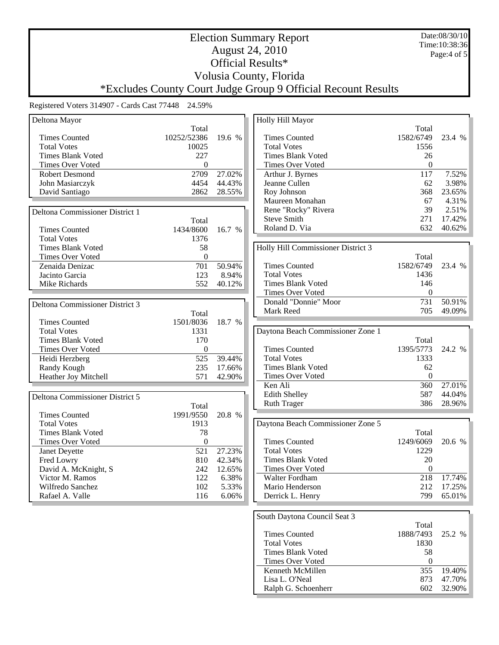Date:08/30/10 Time:10:38:36 Page:4 of 5

## Election Summary Report August 24, 2010 Official Results\* Volusia County, Florida

# \*Excludes County Court Judge Group 9 Official Recount Results

| Total<br>Total<br><b>Times Counted</b><br>10252/52386<br>19.6 %<br><b>Times Counted</b><br>1582/6749<br><b>Total Votes</b><br>10025<br><b>Total Votes</b><br>1556<br><b>Times Blank Voted</b><br>227<br><b>Times Blank Voted</b><br>26<br><b>Times Over Voted</b><br>$\theta$<br>$\mathbf{0}$<br>Times Over Voted<br>$\overline{117}$<br><b>Robert Desmond</b><br>2709<br>27.02%<br>Arthur J. Byrnes<br>4454<br>44.43%<br>Jeanne Cullen<br>62<br>John Masiarczyk<br>David Santiago<br>368<br>2862<br>28.55%<br>Roy Johnson<br>Maureen Monahan<br>67<br>39<br>Rene "Rocky" Rivera<br>2.51%<br>Deltona Commissioner District 1<br><b>Steve Smith</b><br>271<br>Total<br>Roland D. Via<br>632<br>1434/8600<br>16.7 %<br><b>Times Counted</b><br><b>Total Votes</b><br>1376<br>Holly Hill Commissioner District 3<br><b>Times Blank Voted</b><br>58<br>$\theta$<br>Times Over Voted<br>Total<br>50.94%<br>$\overline{701}$<br>1582/6749<br><b>Times Counted</b><br>Zenaida Denizac<br>23.4 %<br><b>Total Votes</b><br>1436<br>Jacinto Garcia<br>123<br>8.94%<br><b>Times Blank Voted</b><br>146<br>Mike Richards<br>552<br>40.12%<br>$\boldsymbol{0}$<br><b>Times Over Voted</b><br>731<br>Donald "Donnie" Moor<br>50.91%<br>Deltona Commissioner District 3<br>705<br>Mark Reed<br>49.09%<br>Total<br><b>Times Counted</b><br>1501/8036<br>18.7 %<br><b>Total Votes</b><br>1331<br>Daytona Beach Commissioner Zone 1<br><b>Times Blank Voted</b><br>170<br>Total<br><b>Times Counted</b><br>1395/5773<br>Times Over Voted<br>$\theta$<br>24.2 %<br>39.44%<br>Heidi Herzberg<br>525<br><b>Total Votes</b><br>1333<br>235<br><b>Times Blank Voted</b><br>62<br>Randy Kough<br>17.66%<br>$\boldsymbol{0}$<br>571<br>Times Over Voted<br>Heather Joy Mitchell<br>42.90%<br>Ken Ali<br>360<br>27.01%<br>Edith Shelley<br>587<br>44.04%<br>Deltona Commissioner District 5<br>386<br>28.96%<br><b>Ruth Trager</b><br>Total<br>1991/9550<br><b>Times Counted</b><br>20.8 %<br><b>Total Votes</b><br>1913<br>Daytona Beach Commissioner Zone 5<br>78<br><b>Times Blank Voted</b><br>Total<br><b>Times Counted</b><br>1249/6069<br><b>Times Over Voted</b><br>$\theta$<br>20.6 %<br><b>Total Votes</b><br>1229<br>27.23%<br>Janet Deyette<br>521<br>20<br><b>Times Blank Voted</b><br>Fred Lowry<br>810<br>42.34%<br>Times Over Voted<br>$\mathbf{0}$<br>David A. McKnight, S<br>242<br>12.65%<br>Walter Fordham<br>122<br>218<br>17.74%<br>Victor M. Ramos<br>6.38%<br>102<br>212<br>17.25%<br>Wilfredo Sanchez<br>5.33%<br>Mario Henderson<br>799<br>Rafael A. Valle<br>116<br>6.06%<br>65.01%<br>Derrick L. Henry | Deltona Mayor |  | Holly Hill Mayor |        |
|----------------------------------------------------------------------------------------------------------------------------------------------------------------------------------------------------------------------------------------------------------------------------------------------------------------------------------------------------------------------------------------------------------------------------------------------------------------------------------------------------------------------------------------------------------------------------------------------------------------------------------------------------------------------------------------------------------------------------------------------------------------------------------------------------------------------------------------------------------------------------------------------------------------------------------------------------------------------------------------------------------------------------------------------------------------------------------------------------------------------------------------------------------------------------------------------------------------------------------------------------------------------------------------------------------------------------------------------------------------------------------------------------------------------------------------------------------------------------------------------------------------------------------------------------------------------------------------------------------------------------------------------------------------------------------------------------------------------------------------------------------------------------------------------------------------------------------------------------------------------------------------------------------------------------------------------------------------------------------------------------------------------------------------------------------------------------------------------------------------------------------------------------------------------------------------------------------------------------------------------------------------------------------------------------------------------------------------------------------------------------------------------------------------------------------------------------------------------------------------------------------------------------------------------------------------------------------------------------------|---------------|--|------------------|--------|
|                                                                                                                                                                                                                                                                                                                                                                                                                                                                                                                                                                                                                                                                                                                                                                                                                                                                                                                                                                                                                                                                                                                                                                                                                                                                                                                                                                                                                                                                                                                                                                                                                                                                                                                                                                                                                                                                                                                                                                                                                                                                                                                                                                                                                                                                                                                                                                                                                                                                                                                                                                                                          |               |  |                  |        |
|                                                                                                                                                                                                                                                                                                                                                                                                                                                                                                                                                                                                                                                                                                                                                                                                                                                                                                                                                                                                                                                                                                                                                                                                                                                                                                                                                                                                                                                                                                                                                                                                                                                                                                                                                                                                                                                                                                                                                                                                                                                                                                                                                                                                                                                                                                                                                                                                                                                                                                                                                                                                          |               |  |                  | 23.4 % |
|                                                                                                                                                                                                                                                                                                                                                                                                                                                                                                                                                                                                                                                                                                                                                                                                                                                                                                                                                                                                                                                                                                                                                                                                                                                                                                                                                                                                                                                                                                                                                                                                                                                                                                                                                                                                                                                                                                                                                                                                                                                                                                                                                                                                                                                                                                                                                                                                                                                                                                                                                                                                          |               |  |                  |        |
|                                                                                                                                                                                                                                                                                                                                                                                                                                                                                                                                                                                                                                                                                                                                                                                                                                                                                                                                                                                                                                                                                                                                                                                                                                                                                                                                                                                                                                                                                                                                                                                                                                                                                                                                                                                                                                                                                                                                                                                                                                                                                                                                                                                                                                                                                                                                                                                                                                                                                                                                                                                                          |               |  |                  |        |
|                                                                                                                                                                                                                                                                                                                                                                                                                                                                                                                                                                                                                                                                                                                                                                                                                                                                                                                                                                                                                                                                                                                                                                                                                                                                                                                                                                                                                                                                                                                                                                                                                                                                                                                                                                                                                                                                                                                                                                                                                                                                                                                                                                                                                                                                                                                                                                                                                                                                                                                                                                                                          |               |  |                  |        |
|                                                                                                                                                                                                                                                                                                                                                                                                                                                                                                                                                                                                                                                                                                                                                                                                                                                                                                                                                                                                                                                                                                                                                                                                                                                                                                                                                                                                                                                                                                                                                                                                                                                                                                                                                                                                                                                                                                                                                                                                                                                                                                                                                                                                                                                                                                                                                                                                                                                                                                                                                                                                          |               |  |                  | 7.52%  |
|                                                                                                                                                                                                                                                                                                                                                                                                                                                                                                                                                                                                                                                                                                                                                                                                                                                                                                                                                                                                                                                                                                                                                                                                                                                                                                                                                                                                                                                                                                                                                                                                                                                                                                                                                                                                                                                                                                                                                                                                                                                                                                                                                                                                                                                                                                                                                                                                                                                                                                                                                                                                          |               |  |                  | 3.98%  |
|                                                                                                                                                                                                                                                                                                                                                                                                                                                                                                                                                                                                                                                                                                                                                                                                                                                                                                                                                                                                                                                                                                                                                                                                                                                                                                                                                                                                                                                                                                                                                                                                                                                                                                                                                                                                                                                                                                                                                                                                                                                                                                                                                                                                                                                                                                                                                                                                                                                                                                                                                                                                          |               |  |                  | 23.65% |
|                                                                                                                                                                                                                                                                                                                                                                                                                                                                                                                                                                                                                                                                                                                                                                                                                                                                                                                                                                                                                                                                                                                                                                                                                                                                                                                                                                                                                                                                                                                                                                                                                                                                                                                                                                                                                                                                                                                                                                                                                                                                                                                                                                                                                                                                                                                                                                                                                                                                                                                                                                                                          |               |  |                  | 4.31%  |
|                                                                                                                                                                                                                                                                                                                                                                                                                                                                                                                                                                                                                                                                                                                                                                                                                                                                                                                                                                                                                                                                                                                                                                                                                                                                                                                                                                                                                                                                                                                                                                                                                                                                                                                                                                                                                                                                                                                                                                                                                                                                                                                                                                                                                                                                                                                                                                                                                                                                                                                                                                                                          |               |  |                  |        |
|                                                                                                                                                                                                                                                                                                                                                                                                                                                                                                                                                                                                                                                                                                                                                                                                                                                                                                                                                                                                                                                                                                                                                                                                                                                                                                                                                                                                                                                                                                                                                                                                                                                                                                                                                                                                                                                                                                                                                                                                                                                                                                                                                                                                                                                                                                                                                                                                                                                                                                                                                                                                          |               |  |                  | 17.42% |
|                                                                                                                                                                                                                                                                                                                                                                                                                                                                                                                                                                                                                                                                                                                                                                                                                                                                                                                                                                                                                                                                                                                                                                                                                                                                                                                                                                                                                                                                                                                                                                                                                                                                                                                                                                                                                                                                                                                                                                                                                                                                                                                                                                                                                                                                                                                                                                                                                                                                                                                                                                                                          |               |  |                  | 40.62% |
|                                                                                                                                                                                                                                                                                                                                                                                                                                                                                                                                                                                                                                                                                                                                                                                                                                                                                                                                                                                                                                                                                                                                                                                                                                                                                                                                                                                                                                                                                                                                                                                                                                                                                                                                                                                                                                                                                                                                                                                                                                                                                                                                                                                                                                                                                                                                                                                                                                                                                                                                                                                                          |               |  |                  |        |
|                                                                                                                                                                                                                                                                                                                                                                                                                                                                                                                                                                                                                                                                                                                                                                                                                                                                                                                                                                                                                                                                                                                                                                                                                                                                                                                                                                                                                                                                                                                                                                                                                                                                                                                                                                                                                                                                                                                                                                                                                                                                                                                                                                                                                                                                                                                                                                                                                                                                                                                                                                                                          |               |  |                  |        |
|                                                                                                                                                                                                                                                                                                                                                                                                                                                                                                                                                                                                                                                                                                                                                                                                                                                                                                                                                                                                                                                                                                                                                                                                                                                                                                                                                                                                                                                                                                                                                                                                                                                                                                                                                                                                                                                                                                                                                                                                                                                                                                                                                                                                                                                                                                                                                                                                                                                                                                                                                                                                          |               |  |                  |        |
|                                                                                                                                                                                                                                                                                                                                                                                                                                                                                                                                                                                                                                                                                                                                                                                                                                                                                                                                                                                                                                                                                                                                                                                                                                                                                                                                                                                                                                                                                                                                                                                                                                                                                                                                                                                                                                                                                                                                                                                                                                                                                                                                                                                                                                                                                                                                                                                                                                                                                                                                                                                                          |               |  |                  |        |
|                                                                                                                                                                                                                                                                                                                                                                                                                                                                                                                                                                                                                                                                                                                                                                                                                                                                                                                                                                                                                                                                                                                                                                                                                                                                                                                                                                                                                                                                                                                                                                                                                                                                                                                                                                                                                                                                                                                                                                                                                                                                                                                                                                                                                                                                                                                                                                                                                                                                                                                                                                                                          |               |  |                  |        |
|                                                                                                                                                                                                                                                                                                                                                                                                                                                                                                                                                                                                                                                                                                                                                                                                                                                                                                                                                                                                                                                                                                                                                                                                                                                                                                                                                                                                                                                                                                                                                                                                                                                                                                                                                                                                                                                                                                                                                                                                                                                                                                                                                                                                                                                                                                                                                                                                                                                                                                                                                                                                          |               |  |                  |        |
|                                                                                                                                                                                                                                                                                                                                                                                                                                                                                                                                                                                                                                                                                                                                                                                                                                                                                                                                                                                                                                                                                                                                                                                                                                                                                                                                                                                                                                                                                                                                                                                                                                                                                                                                                                                                                                                                                                                                                                                                                                                                                                                                                                                                                                                                                                                                                                                                                                                                                                                                                                                                          |               |  |                  |        |
|                                                                                                                                                                                                                                                                                                                                                                                                                                                                                                                                                                                                                                                                                                                                                                                                                                                                                                                                                                                                                                                                                                                                                                                                                                                                                                                                                                                                                                                                                                                                                                                                                                                                                                                                                                                                                                                                                                                                                                                                                                                                                                                                                                                                                                                                                                                                                                                                                                                                                                                                                                                                          |               |  |                  |        |
|                                                                                                                                                                                                                                                                                                                                                                                                                                                                                                                                                                                                                                                                                                                                                                                                                                                                                                                                                                                                                                                                                                                                                                                                                                                                                                                                                                                                                                                                                                                                                                                                                                                                                                                                                                                                                                                                                                                                                                                                                                                                                                                                                                                                                                                                                                                                                                                                                                                                                                                                                                                                          |               |  |                  |        |
|                                                                                                                                                                                                                                                                                                                                                                                                                                                                                                                                                                                                                                                                                                                                                                                                                                                                                                                                                                                                                                                                                                                                                                                                                                                                                                                                                                                                                                                                                                                                                                                                                                                                                                                                                                                                                                                                                                                                                                                                                                                                                                                                                                                                                                                                                                                                                                                                                                                                                                                                                                                                          |               |  |                  |        |
|                                                                                                                                                                                                                                                                                                                                                                                                                                                                                                                                                                                                                                                                                                                                                                                                                                                                                                                                                                                                                                                                                                                                                                                                                                                                                                                                                                                                                                                                                                                                                                                                                                                                                                                                                                                                                                                                                                                                                                                                                                                                                                                                                                                                                                                                                                                                                                                                                                                                                                                                                                                                          |               |  |                  |        |
|                                                                                                                                                                                                                                                                                                                                                                                                                                                                                                                                                                                                                                                                                                                                                                                                                                                                                                                                                                                                                                                                                                                                                                                                                                                                                                                                                                                                                                                                                                                                                                                                                                                                                                                                                                                                                                                                                                                                                                                                                                                                                                                                                                                                                                                                                                                                                                                                                                                                                                                                                                                                          |               |  |                  |        |
|                                                                                                                                                                                                                                                                                                                                                                                                                                                                                                                                                                                                                                                                                                                                                                                                                                                                                                                                                                                                                                                                                                                                                                                                                                                                                                                                                                                                                                                                                                                                                                                                                                                                                                                                                                                                                                                                                                                                                                                                                                                                                                                                                                                                                                                                                                                                                                                                                                                                                                                                                                                                          |               |  |                  |        |
|                                                                                                                                                                                                                                                                                                                                                                                                                                                                                                                                                                                                                                                                                                                                                                                                                                                                                                                                                                                                                                                                                                                                                                                                                                                                                                                                                                                                                                                                                                                                                                                                                                                                                                                                                                                                                                                                                                                                                                                                                                                                                                                                                                                                                                                                                                                                                                                                                                                                                                                                                                                                          |               |  |                  |        |
|                                                                                                                                                                                                                                                                                                                                                                                                                                                                                                                                                                                                                                                                                                                                                                                                                                                                                                                                                                                                                                                                                                                                                                                                                                                                                                                                                                                                                                                                                                                                                                                                                                                                                                                                                                                                                                                                                                                                                                                                                                                                                                                                                                                                                                                                                                                                                                                                                                                                                                                                                                                                          |               |  |                  |        |
|                                                                                                                                                                                                                                                                                                                                                                                                                                                                                                                                                                                                                                                                                                                                                                                                                                                                                                                                                                                                                                                                                                                                                                                                                                                                                                                                                                                                                                                                                                                                                                                                                                                                                                                                                                                                                                                                                                                                                                                                                                                                                                                                                                                                                                                                                                                                                                                                                                                                                                                                                                                                          |               |  |                  |        |
|                                                                                                                                                                                                                                                                                                                                                                                                                                                                                                                                                                                                                                                                                                                                                                                                                                                                                                                                                                                                                                                                                                                                                                                                                                                                                                                                                                                                                                                                                                                                                                                                                                                                                                                                                                                                                                                                                                                                                                                                                                                                                                                                                                                                                                                                                                                                                                                                                                                                                                                                                                                                          |               |  |                  |        |
|                                                                                                                                                                                                                                                                                                                                                                                                                                                                                                                                                                                                                                                                                                                                                                                                                                                                                                                                                                                                                                                                                                                                                                                                                                                                                                                                                                                                                                                                                                                                                                                                                                                                                                                                                                                                                                                                                                                                                                                                                                                                                                                                                                                                                                                                                                                                                                                                                                                                                                                                                                                                          |               |  |                  |        |
|                                                                                                                                                                                                                                                                                                                                                                                                                                                                                                                                                                                                                                                                                                                                                                                                                                                                                                                                                                                                                                                                                                                                                                                                                                                                                                                                                                                                                                                                                                                                                                                                                                                                                                                                                                                                                                                                                                                                                                                                                                                                                                                                                                                                                                                                                                                                                                                                                                                                                                                                                                                                          |               |  |                  |        |
|                                                                                                                                                                                                                                                                                                                                                                                                                                                                                                                                                                                                                                                                                                                                                                                                                                                                                                                                                                                                                                                                                                                                                                                                                                                                                                                                                                                                                                                                                                                                                                                                                                                                                                                                                                                                                                                                                                                                                                                                                                                                                                                                                                                                                                                                                                                                                                                                                                                                                                                                                                                                          |               |  |                  |        |
|                                                                                                                                                                                                                                                                                                                                                                                                                                                                                                                                                                                                                                                                                                                                                                                                                                                                                                                                                                                                                                                                                                                                                                                                                                                                                                                                                                                                                                                                                                                                                                                                                                                                                                                                                                                                                                                                                                                                                                                                                                                                                                                                                                                                                                                                                                                                                                                                                                                                                                                                                                                                          |               |  |                  |        |
|                                                                                                                                                                                                                                                                                                                                                                                                                                                                                                                                                                                                                                                                                                                                                                                                                                                                                                                                                                                                                                                                                                                                                                                                                                                                                                                                                                                                                                                                                                                                                                                                                                                                                                                                                                                                                                                                                                                                                                                                                                                                                                                                                                                                                                                                                                                                                                                                                                                                                                                                                                                                          |               |  |                  |        |
|                                                                                                                                                                                                                                                                                                                                                                                                                                                                                                                                                                                                                                                                                                                                                                                                                                                                                                                                                                                                                                                                                                                                                                                                                                                                                                                                                                                                                                                                                                                                                                                                                                                                                                                                                                                                                                                                                                                                                                                                                                                                                                                                                                                                                                                                                                                                                                                                                                                                                                                                                                                                          |               |  |                  |        |
|                                                                                                                                                                                                                                                                                                                                                                                                                                                                                                                                                                                                                                                                                                                                                                                                                                                                                                                                                                                                                                                                                                                                                                                                                                                                                                                                                                                                                                                                                                                                                                                                                                                                                                                                                                                                                                                                                                                                                                                                                                                                                                                                                                                                                                                                                                                                                                                                                                                                                                                                                                                                          |               |  |                  |        |
|                                                                                                                                                                                                                                                                                                                                                                                                                                                                                                                                                                                                                                                                                                                                                                                                                                                                                                                                                                                                                                                                                                                                                                                                                                                                                                                                                                                                                                                                                                                                                                                                                                                                                                                                                                                                                                                                                                                                                                                                                                                                                                                                                                                                                                                                                                                                                                                                                                                                                                                                                                                                          |               |  |                  |        |
|                                                                                                                                                                                                                                                                                                                                                                                                                                                                                                                                                                                                                                                                                                                                                                                                                                                                                                                                                                                                                                                                                                                                                                                                                                                                                                                                                                                                                                                                                                                                                                                                                                                                                                                                                                                                                                                                                                                                                                                                                                                                                                                                                                                                                                                                                                                                                                                                                                                                                                                                                                                                          |               |  |                  |        |
|                                                                                                                                                                                                                                                                                                                                                                                                                                                                                                                                                                                                                                                                                                                                                                                                                                                                                                                                                                                                                                                                                                                                                                                                                                                                                                                                                                                                                                                                                                                                                                                                                                                                                                                                                                                                                                                                                                                                                                                                                                                                                                                                                                                                                                                                                                                                                                                                                                                                                                                                                                                                          |               |  |                  |        |
|                                                                                                                                                                                                                                                                                                                                                                                                                                                                                                                                                                                                                                                                                                                                                                                                                                                                                                                                                                                                                                                                                                                                                                                                                                                                                                                                                                                                                                                                                                                                                                                                                                                                                                                                                                                                                                                                                                                                                                                                                                                                                                                                                                                                                                                                                                                                                                                                                                                                                                                                                                                                          |               |  |                  |        |
|                                                                                                                                                                                                                                                                                                                                                                                                                                                                                                                                                                                                                                                                                                                                                                                                                                                                                                                                                                                                                                                                                                                                                                                                                                                                                                                                                                                                                                                                                                                                                                                                                                                                                                                                                                                                                                                                                                                                                                                                                                                                                                                                                                                                                                                                                                                                                                                                                                                                                                                                                                                                          |               |  |                  |        |
|                                                                                                                                                                                                                                                                                                                                                                                                                                                                                                                                                                                                                                                                                                                                                                                                                                                                                                                                                                                                                                                                                                                                                                                                                                                                                                                                                                                                                                                                                                                                                                                                                                                                                                                                                                                                                                                                                                                                                                                                                                                                                                                                                                                                                                                                                                                                                                                                                                                                                                                                                                                                          |               |  |                  |        |

| Total            |            |
|------------------|------------|
| 1888/7493 25.2 % |            |
| 1830             |            |
| 58               |            |
|                  |            |
|                  | 355 19.40% |
| 873              | 47.70%     |
| 602              | 32.90%     |
|                  |            |